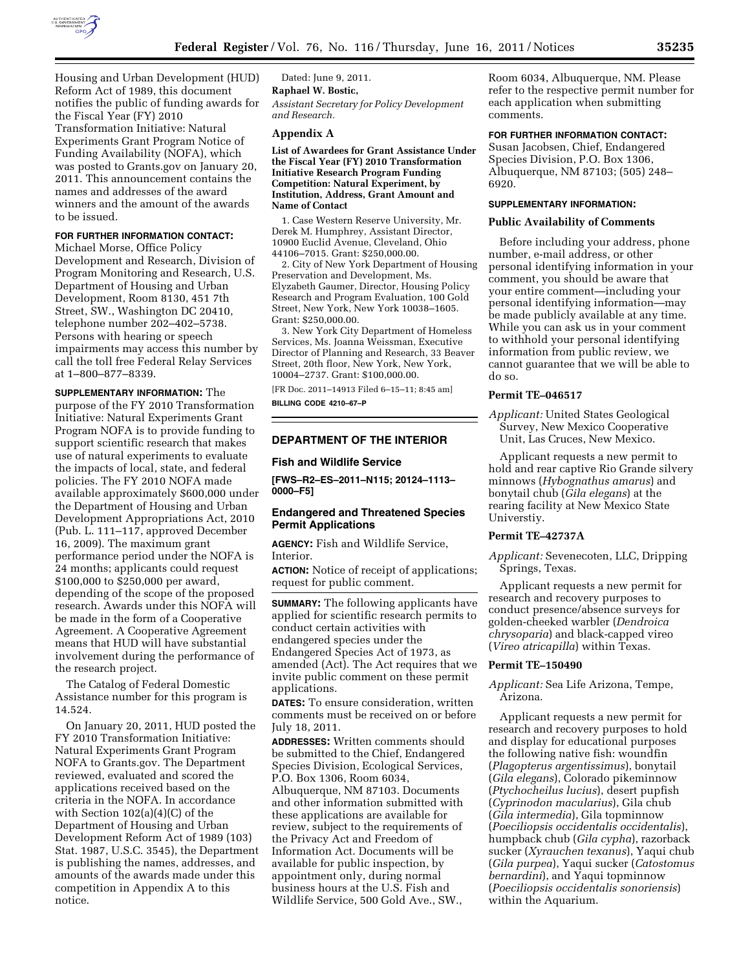

Housing and Urban Development (HUD) Reform Act of 1989, this document notifies the public of funding awards for the Fiscal Year (FY) 2010 Transformation Initiative: Natural Experiments Grant Program Notice of Funding Availability (NOFA), which was posted to Grants.gov on January 20, 2011. This announcement contains the names and addresses of the award winners and the amount of the awards to be issued.

# **FOR FURTHER INFORMATION CONTACT:**

Michael Morse, Office Policy Development and Research, Division of Program Monitoring and Research, U.S. Department of Housing and Urban Development, Room 8130, 451 7th Street, SW., Washington DC 20410, telephone number 202–402–5738. Persons with hearing or speech impairments may access this number by call the toll free Federal Relay Services at 1–800–877–8339.

**SUPPLEMENTARY INFORMATION:** The purpose of the FY 2010 Transformation Initiative: Natural Experiments Grant Program NOFA is to provide funding to support scientific research that makes use of natural experiments to evaluate the impacts of local, state, and federal policies. The FY 2010 NOFA made available approximately \$600,000 under the Department of Housing and Urban Development Appropriations Act, 2010 (Pub. L. 111–117, approved December 16, 2009). The maximum grant performance period under the NOFA is 24 months; applicants could request \$100,000 to \$250,000 per award, depending of the scope of the proposed research. Awards under this NOFA will be made in the form of a Cooperative Agreement. A Cooperative Agreement means that HUD will have substantial involvement during the performance of the research project.

The Catalog of Federal Domestic Assistance number for this program is 14.524.

On January 20, 2011, HUD posted the FY 2010 Transformation Initiative: Natural Experiments Grant Program NOFA to Grants.gov. The Department reviewed, evaluated and scored the applications received based on the criteria in the NOFA. In accordance with Section 102(a)(4)(C) of the Department of Housing and Urban Development Reform Act of 1989 (103) Stat. 1987, U.S.C. 3545), the Department is publishing the names, addresses, and amounts of the awards made under this competition in Appendix A to this notice.

Dated: June 9, 2011. **Raphael W. Bostic,**  *Assistant Secretary for Policy Development and Research.* 

#### **Appendix A**

**List of Awardees for Grant Assistance Under the Fiscal Year (FY) 2010 Transformation Initiative Research Program Funding Competition: Natural Experiment, by Institution, Address, Grant Amount and Name of Contact** 

1. Case Western Reserve University, Mr. Derek M. Humphrey, Assistant Director, 10900 Euclid Avenue, Cleveland, Ohio 44106–7015. Grant: \$250,000.00.

2. City of New York Department of Housing Preservation and Development, Ms. Elyzabeth Gaumer, Director, Housing Policy Research and Program Evaluation, 100 Gold Street, New York, New York 10038–1605. Grant: \$250,000.00.

3. New York City Department of Homeless Services, Ms. Joanna Weissman, Executive Director of Planning and Research, 33 Beaver Street, 20th floor, New York, New York, 10004–2737. Grant: \$100,000.00.

[FR Doc. 2011–14913 Filed 6–15–11; 8:45 am] **BILLING CODE 4210–67–P** 

## **DEPARTMENT OF THE INTERIOR**

# **Fish and Wildlife Service**

**[FWS–R2–ES–2011–N115; 20124–1113– 0000–F5]** 

# **Endangered and Threatened Species Permit Applications**

**AGENCY:** Fish and Wildlife Service, **Interior** 

**ACTION:** Notice of receipt of applications; request for public comment.

**SUMMARY:** The following applicants have applied for scientific research permits to conduct certain activities with endangered species under the Endangered Species Act of 1973, as amended (Act). The Act requires that we invite public comment on these permit applications.

**DATES:** To ensure consideration, written comments must be received on or before July 18, 2011.

**ADDRESSES:** Written comments should be submitted to the Chief, Endangered Species Division, Ecological Services, P.O. Box 1306, Room 6034, Albuquerque, NM 87103. Documents and other information submitted with these applications are available for review, subject to the requirements of the Privacy Act and Freedom of Information Act. Documents will be available for public inspection, by appointment only, during normal business hours at the U.S. Fish and Wildlife Service, 500 Gold Ave., SW.,

Room 6034, Albuquerque, NM. Please refer to the respective permit number for each application when submitting comments.

# **FOR FURTHER INFORMATION CONTACT:**

Susan Jacobsen, Chief, Endangered Species Division, P.O. Box 1306, Albuquerque, NM 87103; (505) 248– 6920.

## **SUPPLEMENTARY INFORMATION:**

#### **Public Availability of Comments**

Before including your address, phone number, e-mail address, or other personal identifying information in your comment, you should be aware that your entire comment—including your personal identifying information—may be made publicly available at any time. While you can ask us in your comment to withhold your personal identifying information from public review, we cannot guarantee that we will be able to do so.

### **Permit TE–046517**

*Applicant:* United States Geological Survey, New Mexico Cooperative Unit, Las Cruces, New Mexico.

Applicant requests a new permit to hold and rear captive Rio Grande silvery minnows (*Hybognathus amarus*) and bonytail chub (*Gila elegans*) at the rearing facility at New Mexico State Universtiy.

# **Permit TE–42737A**

*Applicant:* Sevenecoten, LLC, Dripping Springs, Texas.

Applicant requests a new permit for research and recovery purposes to conduct presence/absence surveys for golden-cheeked warbler (*Dendroica chrysoparia*) and black-capped vireo (*Vireo atricapilla*) within Texas.

### **Permit TE–150490**

*Applicant:* Sea Life Arizona, Tempe, Arizona.

Applicant requests a new permit for research and recovery purposes to hold and display for educational purposes the following native fish: woundfin (*Plagopterus argentissimus*), bonytail (*Gila elegans*), Colorado pikeminnow (*Ptychocheilus lucius*), desert pupfish (*Cyprinodon macularius*), Gila chub (*Gila intermedia*), Gila topminnow (*Poeciliopsis occidentalis occidentalis*), humpback chub (*Gila cypha*), razorback sucker (*Xyrauchen texanus*), Yaqui chub (*Gila purpea*), Yaqui sucker (*Catostomus bernardini*), and Yaqui topminnow (*Poeciliopsis occidentalis sonoriensis*) within the Aquarium.